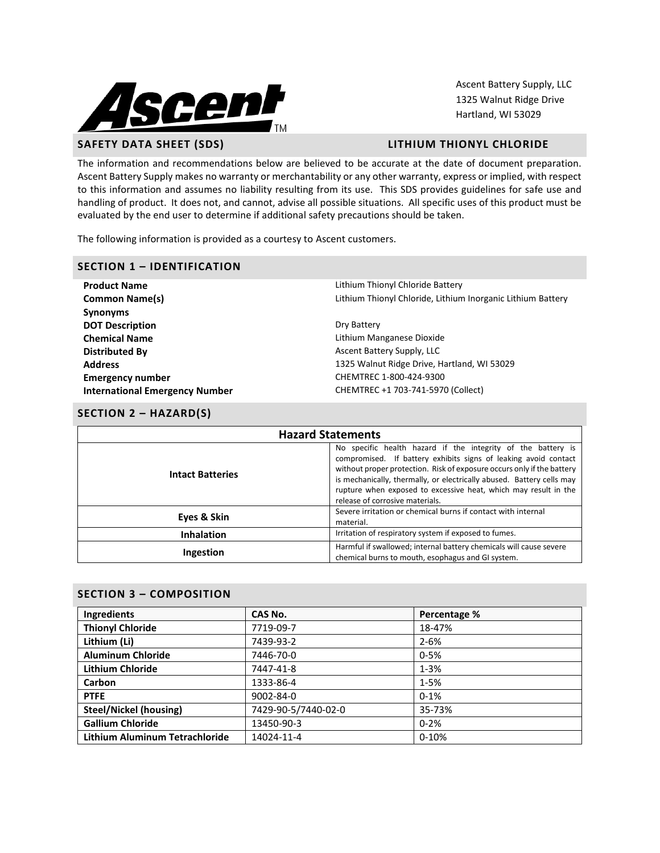

Ascent Battery Supply, LLC 1325 Walnut Ridge Drive Hartland, WI 53029

### **SAFETY DATA SHEET (SDS) LITHIUM THIONYL CHLORIDE**

The information and recommendations below are believed to be accurate at the date of document preparation. Ascent Battery Supply makes no warranty or merchantability or any other warranty, express or implied, with respect to this information and assumes no liability resulting from its use. This SDS provides guidelines for safe use and handling of product. It does not, and cannot, advise all possible situations. All specific uses of this product must be evaluated by the end user to determine if additional safety precautions should be taken.

The following information is provided as a courtesy to Ascent customers.

### **SECTION 1 – IDENTIFICATION**

**Product Name Lithium Thionyl Chloride Battery Synonyms DOT Description** Dry Battery **Chemical Name Lithium Manganese Dioxide Chemical Name Distributed By** Ascent Battery Supply, LLC **Emergency number** CHEMTREC 1-800-424-9300 **International Emergency Number** CHEMTREC +1 703-741-5970 (Collect)

**Common Name(s) Common Name(s) Lithium Lithium Thionyl Chloride, Lithium Inorganic Lithium Battery** 

**Address** 1325 Walnut Ridge Drive, Hartland, WI 53029

## **SECTION 2 – HAZARD(S)**

| <b>Hazard Statements</b> |                                                                                                                                                                                                                                                                                                                                                                                          |  |  |
|--------------------------|------------------------------------------------------------------------------------------------------------------------------------------------------------------------------------------------------------------------------------------------------------------------------------------------------------------------------------------------------------------------------------------|--|--|
| <b>Intact Batteries</b>  | No specific health hazard if the integrity of the battery is<br>compromised. If battery exhibits signs of leaking avoid contact<br>without proper protection. Risk of exposure occurs only if the battery<br>is mechanically, thermally, or electrically abused. Battery cells may<br>rupture when exposed to excessive heat, which may result in the<br>release of corrosive materials. |  |  |
| Eyes & Skin              | Severe irritation or chemical burns if contact with internal<br>material.                                                                                                                                                                                                                                                                                                                |  |  |
| <b>Inhalation</b>        | Irritation of respiratory system if exposed to fumes.                                                                                                                                                                                                                                                                                                                                    |  |  |
| Ingestion                | Harmful if swallowed; internal battery chemicals will cause severe<br>chemical burns to mouth, esophagus and GI system.                                                                                                                                                                                                                                                                  |  |  |

## **SECTION 3 – COMPOSITION**

| Ingredients                           | CAS No.             | Percentage % |  |
|---------------------------------------|---------------------|--------------|--|
| <b>Thionyl Chloride</b>               | 7719-09-7           | 18-47%       |  |
| Lithium (Li)                          | 7439-93-2           | $2 - 6%$     |  |
| <b>Aluminum Chloride</b>              | 7446-70-0           | $0 - 5%$     |  |
| <b>Lithium Chloride</b>               | 7447-41-8           | $1 - 3%$     |  |
| Carbon                                | 1333-86-4           | $1 - 5%$     |  |
| <b>PTFE</b>                           | 9002-84-0           | $0 - 1%$     |  |
| <b>Steel/Nickel (housing)</b>         | 7429-90-5/7440-02-0 | 35-73%       |  |
| <b>Gallium Chloride</b>               | 13450-90-3          | $0 - 2%$     |  |
| <b>Lithium Aluminum Tetrachloride</b> | 14024-11-4          | $0 - 10%$    |  |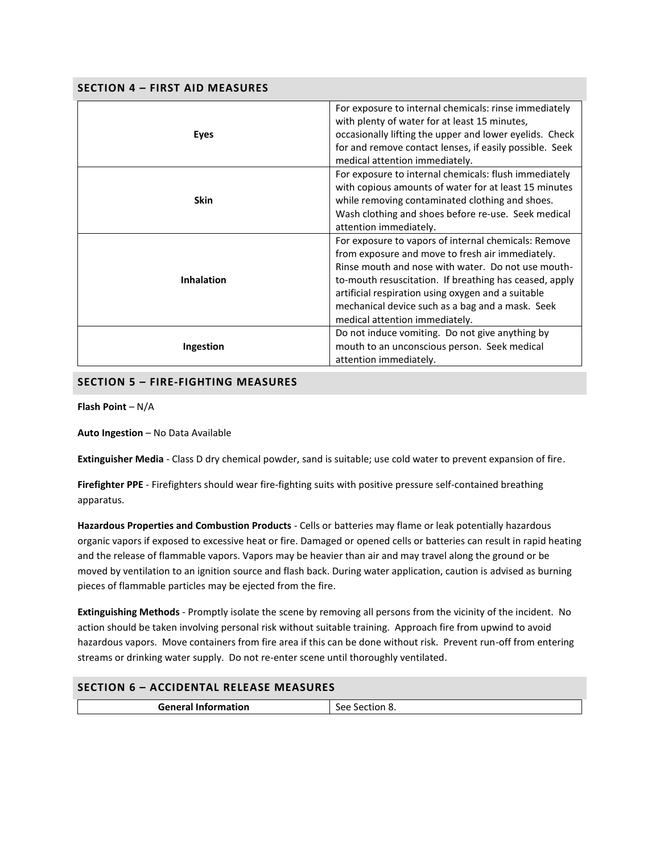| <b>SECTION 4 - FIRST AID MEASURES</b> |                                                                                                                                                                                                                                                                                                                                                                      |  |  |
|---------------------------------------|----------------------------------------------------------------------------------------------------------------------------------------------------------------------------------------------------------------------------------------------------------------------------------------------------------------------------------------------------------------------|--|--|
| <b>Eyes</b>                           | For exposure to internal chemicals: rinse immediately<br>with plenty of water for at least 15 minutes,<br>occasionally lifting the upper and lower eyelids. Check<br>for and remove contact lenses, if easily possible. Seek<br>medical attention immediately.                                                                                                       |  |  |
| <b>Skin</b>                           | For exposure to internal chemicals: flush immediately<br>with copious amounts of water for at least 15 minutes<br>while removing contaminated clothing and shoes.<br>Wash clothing and shoes before re-use. Seek medical<br>attention immediately.                                                                                                                   |  |  |
| <b>Inhalation</b>                     | For exposure to vapors of internal chemicals: Remove<br>from exposure and move to fresh air immediately.<br>Rinse mouth and nose with water. Do not use mouth-<br>to-mouth resuscitation. If breathing has ceased, apply<br>artificial respiration using oxygen and a suitable<br>mechanical device such as a bag and a mask. Seek<br>medical attention immediately. |  |  |
| Ingestion                             | Do not induce vomiting. Do not give anything by<br>mouth to an unconscious person. Seek medical<br>attention immediately.                                                                                                                                                                                                                                            |  |  |

## **SECTION 5 – FIRE-FIGHTING MEASURES**

**Flash Point** – N/A

**Auto Ingestion** – No Data Available

**Extinguisher Media** - Class D dry chemical powder, sand is suitable; use cold water to prevent expansion of fire.

**Firefighter PPE** - Firefighters should wear fire-fighting suits with positive pressure self-contained breathing apparatus.

**Hazardous Properties and Combustion Products** - Cells or batteries may flame or leak potentially hazardous organic vapors if exposed to excessive heat or fire. Damaged or opened cells or batteries can result in rapid heating and the release of flammable vapors. Vapors may be heavier than air and may travel along the ground or be moved by ventilation to an ignition source and flash back. During water application, caution is advised as burning pieces of flammable particles may be ejected from the fire.

**Extinguishing Methods** - Promptly isolate the scene by removing all persons from the vicinity of the incident. No action should be taken involving personal risk without suitable training. Approach fire from upwind to avoid hazardous vapors. Move containers from fire area if this can be done without risk. Prevent run-off from entering streams or drinking water supply. Do not re-enter scene until thoroughly ventilated.

## **SECTION 6 – ACCIDENTAL RELEASE MEASURES**

| <b>General Information</b> | $-$<br>ാല<br>70 - س<br>- 0<br>_____ |
|----------------------------|-------------------------------------|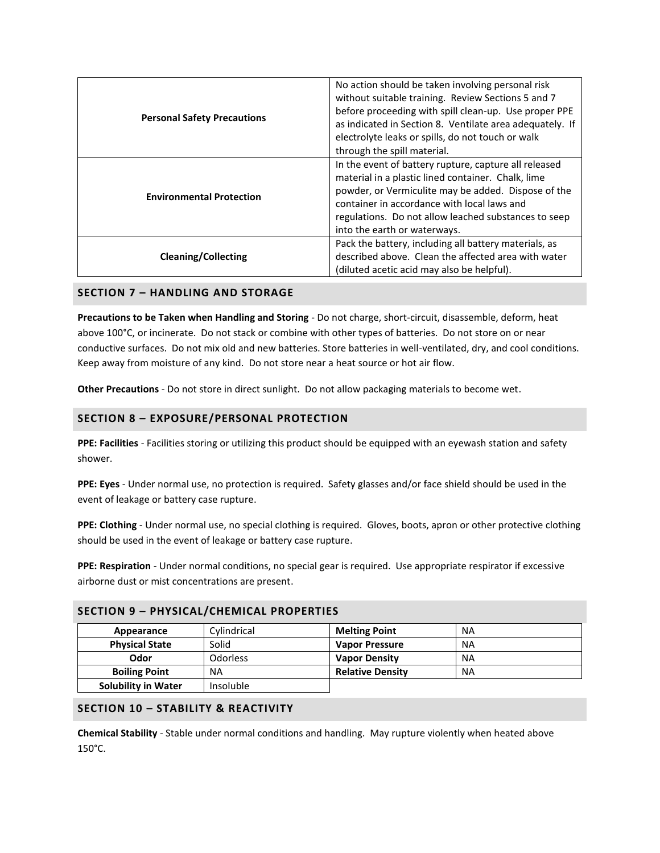| <b>Personal Safety Precautions</b> | No action should be taken involving personal risk<br>without suitable training. Review Sections 5 and 7<br>before proceeding with spill clean-up. Use proper PPE<br>as indicated in Section 8. Ventilate area adequately. If<br>electrolyte leaks or spills, do not touch or walk<br>through the spill material. |
|------------------------------------|------------------------------------------------------------------------------------------------------------------------------------------------------------------------------------------------------------------------------------------------------------------------------------------------------------------|
| <b>Environmental Protection</b>    | In the event of battery rupture, capture all released<br>material in a plastic lined container. Chalk, lime<br>powder, or Vermiculite may be added. Dispose of the<br>container in accordance with local laws and<br>regulations. Do not allow leached substances to seep<br>into the earth or waterways.        |
| <b>Cleaning/Collecting</b>         | Pack the battery, including all battery materials, as<br>described above. Clean the affected area with water<br>(diluted acetic acid may also be helpful).                                                                                                                                                       |

### **SECTION 7 – HANDLING AND STORAGE**

**Precautions to be Taken when Handling and Storing** - Do not charge, short-circuit, disassemble, deform, heat above 100°C, or incinerate. Do not stack or combine with other types of batteries. Do not store on or near conductive surfaces. Do not mix old and new batteries. Store batteries in well-ventilated, dry, and cool conditions. Keep away from moisture of any kind. Do not store near a heat source or hot air flow.

**Other Precautions** - Do not store in direct sunlight. Do not allow packaging materials to become wet.

## **SECTION 8 – EXPOSURE/PERSONAL PROTECTION**

**PPE: Facilities** - Facilities storing or utilizing this product should be equipped with an eyewash station and safety shower.

**PPE: Eyes** - Under normal use, no protection is required. Safety glasses and/or face shield should be used in the event of leakage or battery case rupture.

**PPE: Clothing** - Under normal use, no special clothing is required. Gloves, boots, apron or other protective clothing should be used in the event of leakage or battery case rupture.

**PPE: Respiration** - Under normal conditions, no special gear is required. Use appropriate respirator if excessive airborne dust or mist concentrations are present.

| SECTION 5 - PHTSICAL/CHEMICAL PROPERTIES |                  |                         |           |
|------------------------------------------|------------------|-------------------------|-----------|
| Appearance                               | Cylindrical      | <b>Melting Point</b>    | NA        |
| <b>Physical State</b>                    | Solid            | <b>Vapor Pressure</b>   | <b>NA</b> |
| Odor                                     | <b>Odorless</b>  | <b>Vapor Density</b>    | <b>NA</b> |
| <b>Boiling Point</b>                     | ΝA               | <b>Relative Density</b> | <b>NA</b> |
| <b>Solubility in Water</b>               | <b>Insoluble</b> |                         |           |

## **SECTION 9 – PHYSICAL/CHEMICAL PROPERTIES**

## **SECTION 10 – STABILITY & REACTIVITY**

**Chemical Stability** - Stable under normal conditions and handling. May rupture violently when heated above 150°C.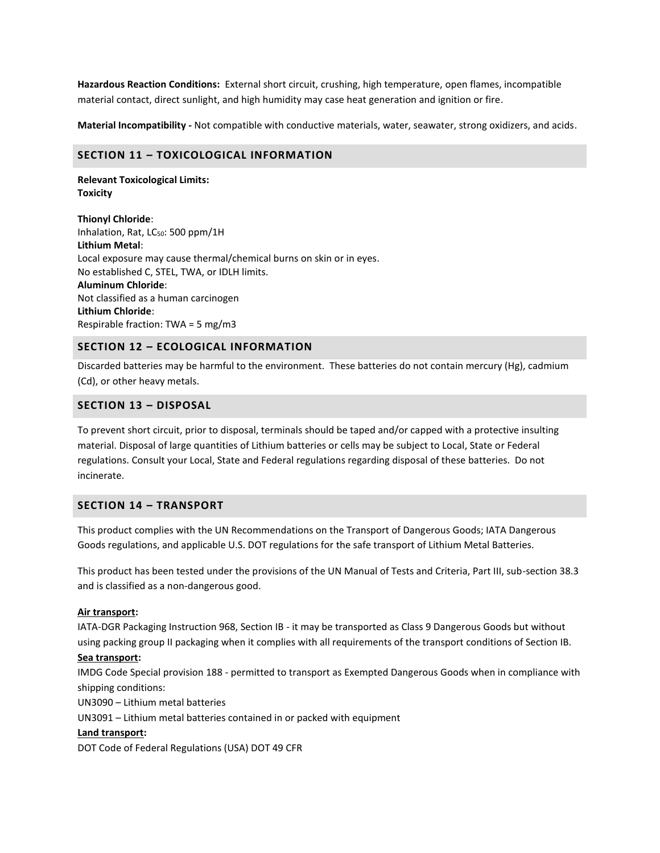**Hazardous Reaction Conditions:** External short circuit, crushing, high temperature, open flames, incompatible material contact, direct sunlight, and high humidity may case heat generation and ignition or fire.

**Material Incompatibility -** Not compatible with conductive materials, water, seawater, strong oxidizers, and acids.

#### **SECTION 11 – TOXICOLOGICAL INFORMATION**

**Relevant Toxicological Limits: Toxicity**

**Thionyl Chloride**: Inhalation, Rat, LC<sub>50</sub>: 500 ppm/1H **Lithium Metal**: Local exposure may cause thermal/chemical burns on skin or in eyes. No established C, STEL, TWA, or IDLH limits. **Aluminum Chloride**: Not classified as a human carcinogen **Lithium Chloride**: Respirable fraction: TWA = 5 mg/m3

#### **SECTION 12 – ECOLOGICAL INFORMATION**

Discarded batteries may be harmful to the environment. These batteries do not contain mercury (Hg), cadmium (Cd), or other heavy metals.

#### **SECTION 13 – DISPOSAL**

To prevent short circuit, prior to disposal, terminals should be taped and/or capped with a protective insulting material. Disposal of large quantities of Lithium batteries or cells may be subject to Local, State or Federal regulations. Consult your Local, State and Federal regulations regarding disposal of these batteries. Do not incinerate.

#### **SECTION 14 – TRANSPORT**

This product complies with the UN Recommendations on the Transport of Dangerous Goods; IATA Dangerous Goods regulations, and applicable U.S. DOT regulations for the safe transport of Lithium Metal Batteries.

This product has been tested under the provisions of the UN Manual of Tests and Criteria, Part III, sub-section 38.3 and is classified as a non-dangerous good.

#### **Air transport:**

IATA-DGR Packaging Instruction 968, Section IB - it may be transported as Class 9 Dangerous Goods but without using packing group II packaging when it complies with all requirements of the transport conditions of Section IB.

#### **Sea transport:**

IMDG Code Special provision 188 - permitted to transport as Exempted Dangerous Goods when in compliance with shipping conditions:

UN3090 – Lithium metal batteries

UN3091 – Lithium metal batteries contained in or packed with equipment

#### **Land transport:**

DOT Code of Federal Regulations (USA) DOT 49 CFR